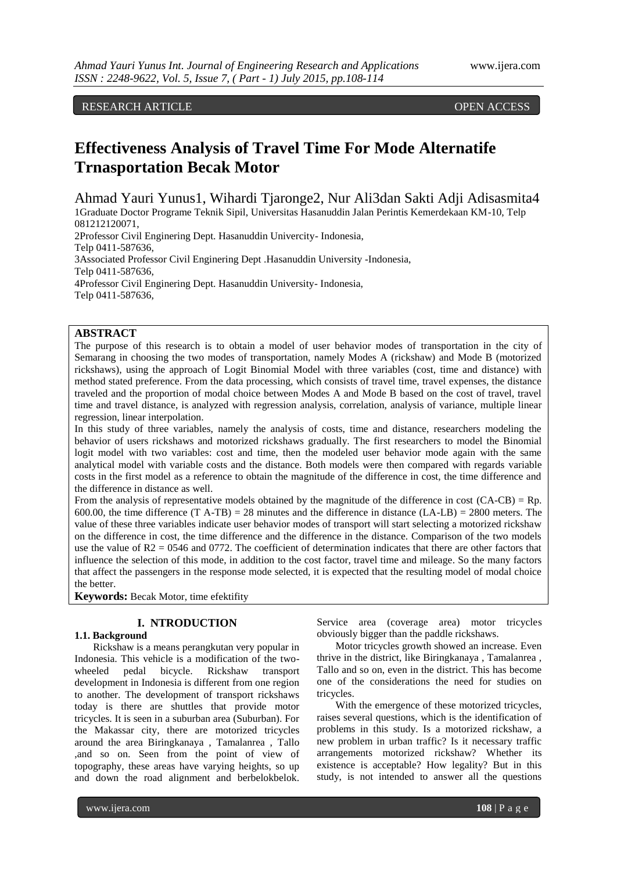# RESEARCH ARTICLE **ARTICLE** And the contract of the contract of the contract of the contract of the contract of the contract of the contract of the contract of the contract of the contract of the contract of the contract of

# **Effectiveness Analysis of Travel Time For Mode Alternatife Trnasportation Becak Motor**

Ahmad Yauri Yunus1, Wihardi Tjaronge2, Nur Ali3dan Sakti Adji Adisasmita4 1Graduate Doctor Programe Teknik Sipil, Universitas Hasanuddin Jalan Perintis Kemerdekaan KM-10, Telp 081212120071, 2Professor Civil Enginering Dept. Hasanuddin Univercity- Indonesia,

Telp 0411-587636, 3Associated Professor Civil Enginering Dept .Hasanuddin University -Indonesia, Telp 0411-587636, 4Professor Civil Enginering Dept. Hasanuddin University- Indonesia, Telp 0411-587636,

## **ABSTRACT**

The purpose of this research is to obtain a model of user behavior modes of transportation in the city of Semarang in choosing the two modes of transportation, namely Modes A (rickshaw) and Mode B (motorized rickshaws), using the approach of Logit Binomial Model with three variables (cost, time and distance) with method stated preference. From the data processing, which consists of travel time, travel expenses, the distance traveled and the proportion of modal choice between Modes A and Mode B based on the cost of travel, travel time and travel distance, is analyzed with regression analysis, correlation, analysis of variance, multiple linear regression, linear interpolation.

In this study of three variables, namely the analysis of costs, time and distance, researchers modeling the behavior of users rickshaws and motorized rickshaws gradually. The first researchers to model the Binomial logit model with two variables: cost and time, then the modeled user behavior mode again with the same analytical model with variable costs and the distance. Both models were then compared with regards variable costs in the first model as a reference to obtain the magnitude of the difference in cost, the time difference and the difference in distance as well.

From the analysis of representative models obtained by the magnitude of the difference in cost  $(CA-CB) = Rp$ . 600.00, the time difference (T A-TB) = 28 minutes and the difference in distance  $(LA-LB) = 2800$  meters. The value of these three variables indicate user behavior modes of transport will start selecting a motorized rickshaw on the difference in cost, the time difference and the difference in the distance. Comparison of the two models use the value of  $R2 = 0546$  and 0772. The coefficient of determination indicates that there are other factors that influence the selection of this mode, in addition to the cost factor, travel time and mileage. So the many factors that affect the passengers in the response mode selected, it is expected that the resulting model of modal choice the better.

**Keywords:** Becak Motor, time efektifity

## **I. NTRODUCTION**

## **1.1. Background**

Rickshaw is a means perangkutan very popular in Indonesia. This vehicle is a modification of the twowheeled pedal bicycle. Rickshaw transport development in Indonesia is different from one region to another. The development of transport rickshaws today is there are shuttles that provide motor tricycles. It is seen in a suburban area (Suburban). For the Makassar city, there are motorized tricycles around the area Biringkanaya , Tamalanrea , Tallo ,and so on. Seen from the point of view of topography, these areas have varying heights, so up and down the road alignment and berbelokbelok.

Service area (coverage area) motor tricycles obviously bigger than the paddle rickshaws.

Motor tricycles growth showed an increase. Even thrive in the district, like Biringkanaya , Tamalanrea , Tallo and so on, even in the district. This has become one of the considerations the need for studies on tricycles.

With the emergence of these motorized tricycles, raises several questions, which is the identification of problems in this study. Is a motorized rickshaw, a new problem in urban traffic? Is it necessary traffic arrangements motorized rickshaw? Whether its existence is acceptable? How legality? But in this study, is not intended to answer all the questions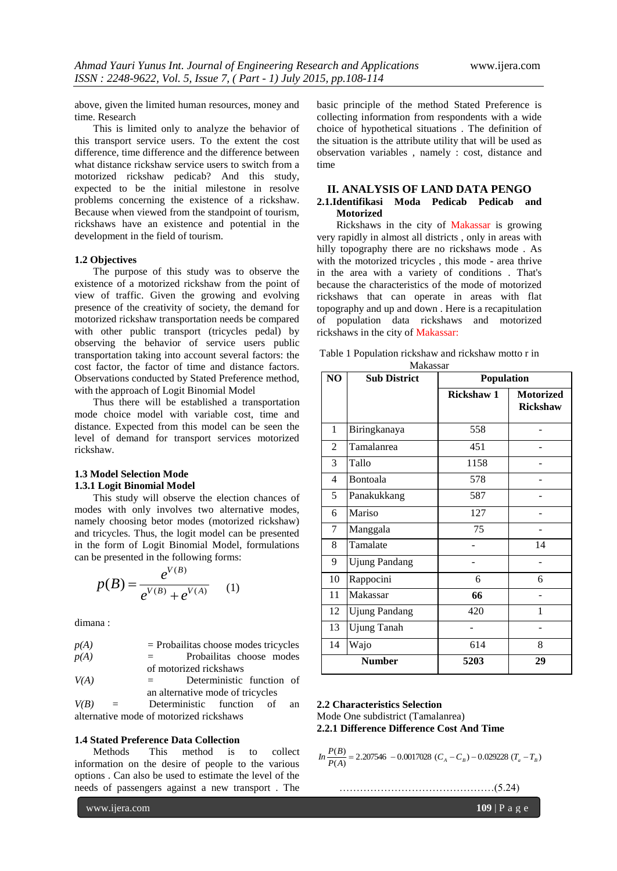above, given the limited human resources, money and time. Research

This is limited only to analyze the behavior of this transport service users. To the extent the cost difference, time difference and the difference between what distance rickshaw service users to switch from a motorized rickshaw pedicab? And this study, expected to be the initial milestone in resolve problems concerning the existence of a rickshaw. Because when viewed from the standpoint of tourism, rickshaws have an existence and potential in the development in the field of tourism.

#### **1.2 Objectives**

The purpose of this study was to observe the existence of a motorized rickshaw from the point of view of traffic. Given the growing and evolving presence of the creativity of society, the demand for motorized rickshaw transportation needs be compared with other public transport (tricycles pedal) by observing the behavior of service users public transportation taking into account several factors: the cost factor, the factor of time and distance factors. Observations conducted by Stated Preference method, with the approach of Logit Binomial Model

Thus there will be established a transportation mode choice model with variable cost, time and distance. Expected from this model can be seen the level of demand for transport services motorized rickshaw.

#### **1.3 Model Selection Mode 1.3.1 Logit Binomial Model**

This study will observe the election chances of modes with only involves two alternative modes, namely choosing betor modes (motorized rickshaw) and tricycles. Thus, the logit model can be presented in the form of Logit Binomial Model, formulations can be presented in the following forms:

$$
p(B) = \frac{e^{V(B)}}{e^{V(B)} + e^{V(A)}} \quad (1)
$$

dimana :

| p(A) |     | $=$ Probailitas choose modes tricycles |  |
|------|-----|----------------------------------------|--|
| p(A) | $=$ | Probailitas choose modes               |  |
|      |     | of motorized rickshaws                 |  |

*V(A) =* Deterministic function of an alternative mode of tricycles

*V(B) =* Deterministic function of an alternative mode of motorized rickshaws

## **1.4 Stated Preference Data Collection**

Methods This method is to collect information on the desire of people to the various options . Can also be used to estimate the level of the needs of passengers against a new transport . The

www.ijera.com **109** | P a g e

basic principle of the method Stated Preference is collecting information from respondents with a wide choice of hypothetical situations . The definition of the situation is the attribute utility that will be used as observation variables , namely : cost, distance and time

## **II. ANALYSIS OF LAND DATA PENGO 2.1.Identifikasi Moda Pedicab Pedicab and Motorized**

Rickshaws in the city of Makassar is growing very rapidly in almost all districts , only in areas with hilly topography there are no rickshaws mode . As with the motorized tricycles , this mode - area thrive in the area with a variety of conditions . That's because the characteristics of the mode of motorized rickshaws that can operate in areas with flat topography and up and down . Here is a recapitulation of population data rickshaws and motorized rickshaws in the city of Makassar:

|  | Table 1 Population rickshaw and rickshaw motto r in |  |  |  |  |  |
|--|-----------------------------------------------------|--|--|--|--|--|
|--|-----------------------------------------------------|--|--|--|--|--|

| NO             | <b>Sub District</b>  | Population |                                     |
|----------------|----------------------|------------|-------------------------------------|
|                |                      | Rickshaw 1 | <b>Motorized</b><br><b>Rickshaw</b> |
| 1              | Biringkanaya         | 558        |                                     |
| $\overline{2}$ | Tamalanrea           | 451        |                                     |
| 3              | Tallo                | 1158       |                                     |
| 4              | Bontoala             | 578        |                                     |
| 5              | Panakukkang          | 587        |                                     |
| 6              | Mariso               | 127        |                                     |
| 7              | Manggala             | 75         |                                     |
| 8              | Tamalate             |            | 14                                  |
| 9              | <b>Ujung Pandang</b> |            |                                     |
| 10             | Rappocini            | 6          | 6                                   |
| 11             | Makassar             | 66         |                                     |
| 12             | <b>Ujung Pandang</b> | 420        | 1                                   |
| 13             | <b>Ujung Tanah</b>   |            |                                     |
| 14             | Wajo                 | 614        | 8                                   |
|                | <b>Number</b>        | 5203       | 29                                  |

#### **2.2 Characteristics Selection**

Mode One subdistrict (Tamalanrea) **2.2.1 Difference Difference Cost And Time**

$$
In \frac{P(B)}{P(A)} = 2.207546 - 0.0017028 (C_A - C_B) - 0.029228 (T_a - T_B)
$$

………………………………………(5.24)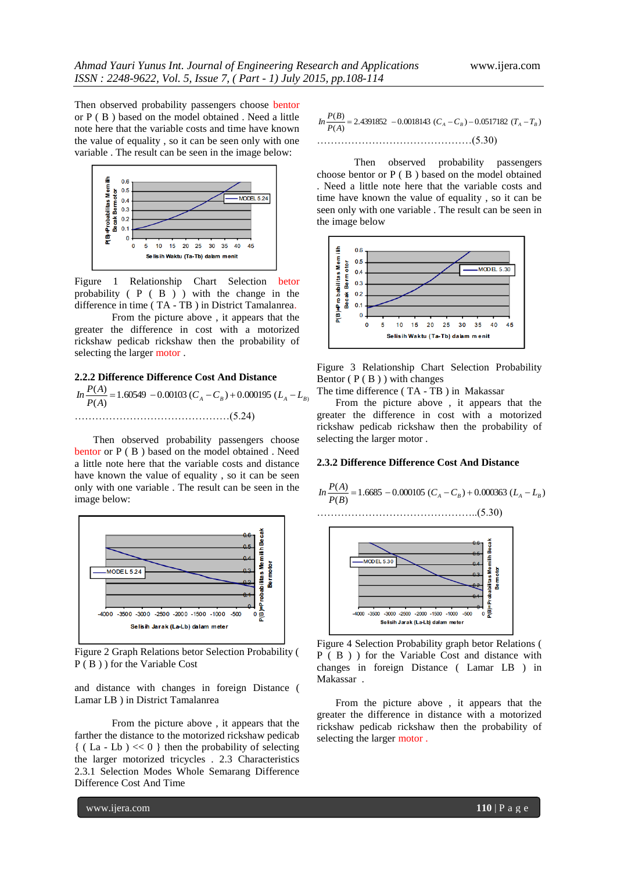Then observed probability passengers choose bentor or P ( B ) based on the model obtained . Need a little note here that the variable costs and time have known the value of equality , so it can be seen only with one variable . The result can be seen in the image below:



Figure 1 Relationship Chart Selection betor probability ( P ( B ) ) with the change in the difference in time ( TA - TB ) in District Tamalanrea.

From the picture above , it appears that the greater the difference in cost with a motorized rickshaw pedicab rickshaw then the probability of selecting the larger motor .

## **2.2.2 Difference Difference Cost And Distance**

 $\frac{P(A)}{P(A)} = 1.60549 - 0.00103 \ (C_A - C_B) + 0.000195 \ (L_A - L_B)$ ………………………………………(5.24)

Then observed probability passengers choose bentor or P ( B ) based on the model obtained . Need a little note here that the variable costs and distance have known the value of equality , so it can be seen only with one variable . The result can be seen in the image below:



Figure 2 Graph Relations betor Selection Probability ( P ( B ) ) for the Variable Cost

and distance with changes in foreign Distance ( Lamar LB ) in District Tamalanrea

From the picture above , it appears that the farther the distance to the motorized rickshaw pedicab  $\{$  (La - Lb) << 0 } then the probability of selecting the larger motorized tricycles . 2.3 Characteristics 2.3.1 Selection Modes Whole Semarang Difference Difference Cost And Time

$$
In \frac{P(B)}{P(A)} = 2.4391852 - 0.0018143 (C_A - C_B) - 0.0517182 (T_A - T_B)
$$
  
.................(5.30)

Then observed probability passengers choose bentor or P ( B ) based on the model obtained . Need a little note here that the variable costs and time have known the value of equality , so it can be seen only with one variable . The result can be seen in the image below



Figure 3 Relationship Chart Selection Probability Bentor  $(P(B))$  with changes

The time difference ( TA - TB ) in Makassar

From the picture above , it appears that the greater the difference in cost with a motorized rickshaw pedicab rickshaw then the probability of selecting the larger motor .

## **2.3.2 Difference Difference Cost And Distance**





Figure 4 Selection Probability graph betor Relations ( P ( B ) ) for the Variable Cost and distance with changes in foreign Distance ( Lamar LB ) in Makassar .

From the picture above , it appears that the greater the difference in distance with a motorized rickshaw pedicab rickshaw then the probability of selecting the larger motor .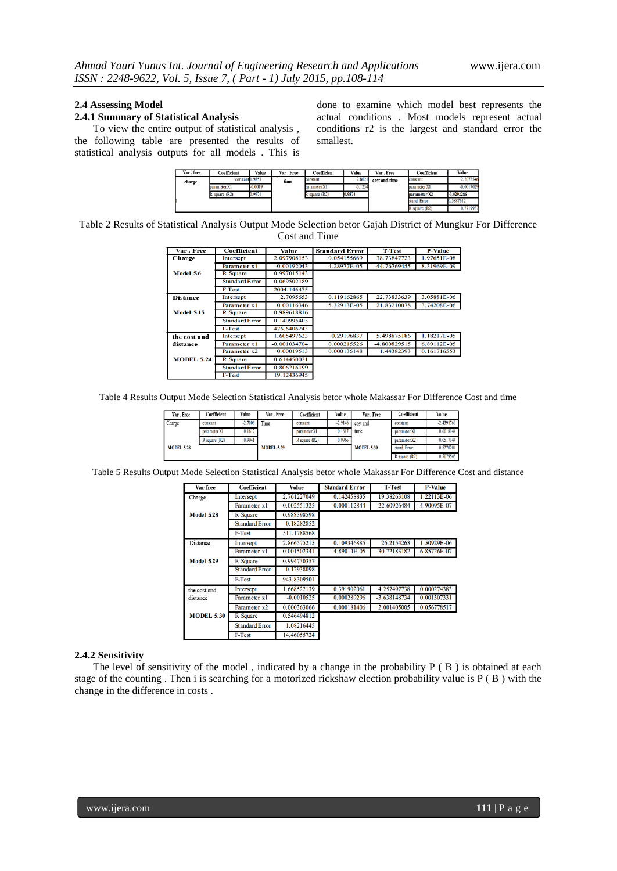#### **2.4 Assessing Model**

#### **2.4.1 Summary of Statistical Analysis**

To view the entire output of statistical analysis , the following table are presented the results of statistical analysis outputs for all models . This is

done to examine which model best represents the actual conditions . Most models represent actual conditions r2 is the largest and standard error the smallest.

| Var . free | Coefficient                    | Value           | Var . Free | Coefficient     | Value     | Var . Free    | Coefficient   | Value        |
|------------|--------------------------------|-----------------|------------|-----------------|-----------|---------------|---------------|--------------|
| charge     |                                | constant 1.9853 |            | constant        | 2.8021    | cost and time | constant      | 2.2072546    |
|            | parameter X1                   | -0.0019         |            | parameter X1    | $-0.1234$ |               | parameter X1  | $-0.0017029$ |
|            | 0.9971<br>$\ell$ square $(R2)$ |                 |            | R square $(R2)$ | 0.9874    |               | parameter X2  | $-0.0292286$ |
|            |                                |                 |            |                 |           |               | stand, Error  | 0.5887612    |
|            |                                |                 |            |                 |           |               | R square (R2) | 0.7719937    |

Table 2 Results of Statistical Analysis Output Mode Selection betor Gajah District of Mungkur For Difference Cost and Time

| Var . Free        | Coefficient           | Value          | <b>Standard Error</b> | <b>T-Test</b> | <b>P-Value</b> |
|-------------------|-----------------------|----------------|-----------------------|---------------|----------------|
| Charge            | Intersept             | 2.097908153    | 0.054155669           | 38.73847723   | 1.97651E-08    |
|                   | Parameter x1          | $-0.00192043$  | 4.28977E-05           | -44.76769455  | 8.31969E-09    |
| Model 56          | R Square              | 0.997015143    |                       |               |                |
|                   | <b>Standard Error</b> | 0.069502189    |                       |               |                |
|                   | F-Test                | 2004.146475    |                       |               |                |
| <b>Distance</b>   | Intersept             | 2.7095653      | 0.119162865           | 22.73833639   | 3.05881E-06    |
|                   | Parameter x1          | 0.00116346     | 5.32913E-05           | 21.83210078   | 3.74208E-06    |
| <b>Model 515</b>  | <b>R</b> Square       | 0.989618816    |                       |               |                |
|                   | <b>Standard Error</b> | 0.140995403    |                       |               |                |
|                   | F-Test                | 476.6406243    |                       |               |                |
| the cost and      | Intersept             | 1.605497623    | 0.29196837            | 5.498875186   | 1.18217E-05    |
| distance          | Parameter x1          | $-0.001034704$ | 0.000215526           | -4.800829515  | 6.89112E-05    |
|                   | Parameter x2          | 0.00019513     | 0.000135148           | 1.44382393    | 0.161716553    |
| <b>MODEL 5.24</b> | <b>R</b> Square       | 0.614450021    |                       |               |                |
|                   | <b>Standard Error</b> | 0.806216199    |                       |               |                |
|                   | F-Test                | 19.12436945    |                       |               |                |

Table 4 Results Output Mode Selection Statistical Analysis betor whole Makassar For Difference Cost and time

| Var . Free        | Coefficient       | Value     | Var . Free        | Coefficient   | Volue     | Var . Free        | Coefficient       | Volue        |
|-------------------|-------------------|-----------|-------------------|---------------|-----------|-------------------|-------------------|--------------|
| Charge            | constant          | $-2.7106$ | Time              | constant      | $-2.9146$ | cost and          | constant          | $-2.4391769$ |
|                   | parameter X1      | 0.1617    |                   | parameter X1  | 0.1617    | time              | parameter X1      | 0.0018144    |
|                   | $R$ square $(R2)$ | 0.9941    |                   | R square (R2) | 0.9966    |                   | parameter X2      | 0.0517144    |
| <b>MODEL 5.28</b> |                   |           | <b>MODEL 5.29</b> |               |           | <b>MODEL 5.30</b> | stand. Error      | 0.8270204    |
|                   |                   |           |                   |               |           |                   | $R$ square $(R2)$ | 0.7079545    |

Table 5 Results Output Mode Selection Statistical Analysis betor whole Makassar For Difference Cost and distance

| Var free          | Coefficient           | Volue          | <b>Standard Error</b> | <b>T-Test</b>  | <b>P-Value</b> |
|-------------------|-----------------------|----------------|-----------------------|----------------|----------------|
| Charge            | Intersept             | 2.761227049    | 0.142458835           | 19.38263108    | 1.22113E-06    |
|                   | Parameter x1          | $-0.002551325$ | 0.000112844           | $-22.60926484$ | 4.90095E-07    |
| <b>Model 528</b>  | R Square              | 0.988398598    |                       |                |                |
|                   | <b>Standard Error</b> | 0.18282852     |                       |                |                |
|                   | F-Test                | 511.1788568    |                       |                |                |
| Distance          | Intersept             | 2.866575215    | 0.109346885           | 26.2154263     | 1.50929E-06    |
|                   | Parameter x1          | 0.001502341    | 4.89014E-05           | 30.72183182    | 6.85726E-07    |
| <b>Model 529</b>  | R Square              | 0.994730357    |                       |                |                |
|                   | <b>Standard Error</b> | 0.12938098     |                       |                |                |
|                   | F-Test                | 943.8309501    |                       |                |                |
| the cost and      | Intersept             | 1.668522139    | 0.391902061           | 4.257497738    | 0.000274383    |
| distance          | Parameter x1          | $-0.0010525$   | 0.000289296           | $-3.638148734$ | 0.001307331    |
|                   | Parameter x2          | 0.000363066    | 0.000181406           | 2.001405005    | 0.056778517    |
| <b>MODEL 5.30</b> | R Square              | 0.546494812    |                       |                |                |
|                   | <b>Standard Error</b> | 1.08216445     |                       |                |                |
|                   | F-Test                | 14.46055724    |                       |                |                |

#### **2.4.2 Sensitivity**

The level of sensitivity of the model , indicated by a change in the probability P ( B ) is obtained at each stage of the counting . Then i is searching for a motorized rickshaw election probability value is  $P(B)$  with the change in the difference in costs .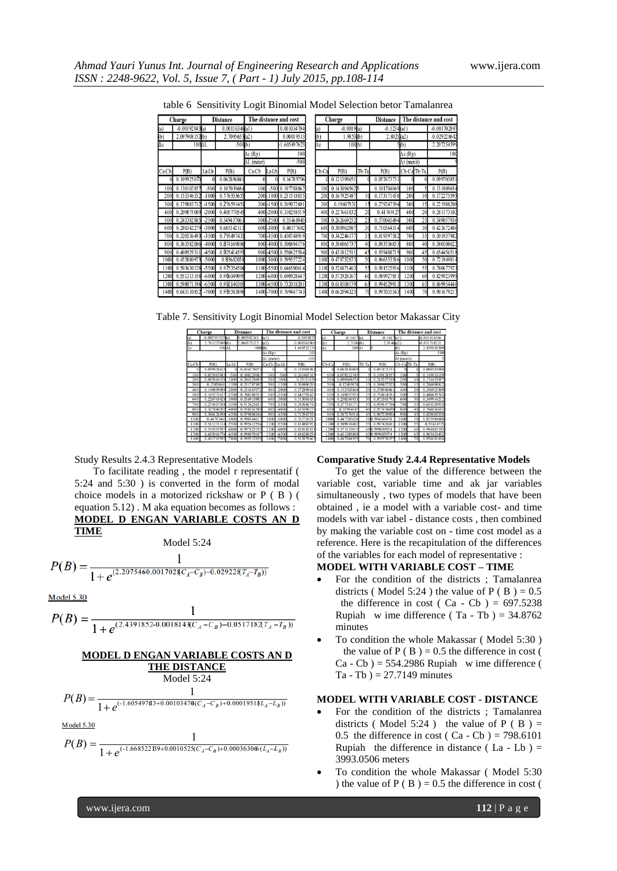|  |  |  |  |  |  |  | table 6 Sensitivity Logit Binomial Model Selection betor Tamalanrea |
|--|--|--|--|--|--|--|---------------------------------------------------------------------|
|--|--|--|--|--|--|--|---------------------------------------------------------------------|

|             | Charge           |         | <b>Distance</b> |                    |            | The distance and cost  |       | Charge         |       | <b>Distance</b> |                            | The distance and cost |                 |
|-------------|------------------|---------|-----------------|--------------------|------------|------------------------|-------|----------------|-------|-----------------|----------------------------|-----------------------|-----------------|
|             | $-0.00192043(a)$ |         | 0.00116346(a1)  |                    |            | 0.001034704            | (a)   | $-0.0019(a)$   |       | $-0.1234$ (al)  |                            |                       | -0.001702897    |
|             | 2.097908153(b)   |         | 2.7095653(a2)   |                    |            | 0.00019513             | (b)   | 1.9853(b)      |       | 2.8021(a2)      |                            |                       | $-0.029228642$  |
| ١C          | 100AL            |         | $-500(b)$       |                    |            | 1.605497623            | Δc    | $100 \Delta t$ |       |                 | 5(b)                       |                       | 2.207254599     |
|             |                  |         |                 | $\Delta c$ (Rp)    |            | 100                    |       |                |       |                 | $\overline{\Delta c}$ (Rp) |                       | 10 <sub>0</sub> |
|             |                  |         |                 | $\Delta L$ (meter) |            | $-500$                 |       |                |       |                 | $\Delta t$ (menit)         |                       |                 |
| a-Cb        | P(B)             | La-Lb   | P(B)            | Ca-Cb              | La-Lb      | P(B)                   | Cb-Ca | P(B)           | Tb-Ta | P(B)            | Cb-Ca Tb-Ta                |                       | P(B)            |
|             | 0.109925073      |         | 0.062896841     |                    |            | 0.16789796             |       | 0.121399651    |       | 0.057673731     |                            |                       | 0.099703851     |
| 100         | 0.130102857      | $-500$  | 0.107039684     | 100                |            | -500 0.197788067       | 100   | 0.1430945625   |       | 0.101704049     | 100                        |                       | 0.131809654     |
| 200         | 0.153346352      | $-1000$ | 0.176333655     |                    |            | 200-1000 0.231518835   | 20    | 0.167925487    |       | 0.173171458     | 200                        | 10                    | 0.172275595     |
| 300         | 0.179883712      | $-1500$ | 0.276591451     |                    |            | 300-1500 0.269072601   | 300   | 0.19607931     | 15    | 0.279247394     | 300                        | 15                    | 0.221988208     |
| 400         | 0.209875089      | $-2000$ | 0.405770545     |                    |            | 400-2000 0.310258519   | 400   | 0.227661832    | 20    | 0.41749127      | 400                        | 20                    | 0.281173102     |
| 500         | 0.243382885      | $-2500$ | 0.549457061     |                    | 500 - 2500 | 0.35468945             | 500   | 0.262669252    | 25    | 0.570045494     | 500                        | 25                    | 0.349057936     |
| 600         | 0.280342279      | $-3000$ | 0.685342113     |                    | 600 - 3000 | 0.40177682             | 600   | 0.300962087    | 30    | 0.710364314     | 600                        | 30                    | 0.423672486     |
| 700         | 0.320536493      | $-3500$ | 0.795497435     |                    |            | 700 -3500 0.450748919  | 700   | 0.342246177    | 35    | 0.819397582     | 700                        | 35                    | 0.501937982     |
| 800         | 0.363582086      | -4000   | 0.874169886     |                    |            | 800 4000 0.500694176   | 800   | 0.386065737    | 40    | 0.893536853     | 800                        | 40                    | 0.580108622     |
| <b>900l</b> | 0.408929311      | 4500    | 0.925414593     |                    |            | 900 4500 0.550625584   | 900   | 0.431812511    | 45    | 0.939488719     | 900                        | 45                    | 0.654456518     |
| 1000        | 0.45588097       | $-5000$ | 0.95682058      | 1000               |            | -5000 0.599557224      | 100   | 0.478752873    | 50    | 0.966353586     | 1000                       | 50                    | 0.721949814     |
| 1100        | 0.503630128      | $-5500$ | 0.975354504     |                    |            | 1100-5500 0.646580614  | 1100  | 0.526071463    | 55    | 0.981525936     | 1100                       | 55                    | 0.780677923     |
| 1200        | 0.551313158      | $-6000$ | 0.986049095     |                    |            | 1200-6000 0.690928647  | 1200  | 0.572926367    | 60    | 0.989927851     | 1200                       | 60                    | 0.829923995     |
| 1300        | 0.5980           | -6500   | 0.992140305     |                    |            | 1300 -6500 0.732018201 | 130   | 0.618508179    | 65    | 0.9945299       | 1300                       | 65                    | 0.869954446     |
| 1400        | 0.643110852      | $-7000$ | 0.995583896     |                    |            | 1400-7000 0.769467743  | 1400  | 0.662094325    | 70    | 0.997035543     | 1400                       | 70                    | 0.901679217     |

Table 7. Sensitivity Logit Binomial Model Selection betor Makassar City

|       | Charge            |         | <b>Distance</b> |                    |         | The distance and cost |       | Charge         |       | <b>Distance</b> | The distance and cost |             |              |
|-------|-------------------|---------|-----------------|--------------------|---------|-----------------------|-------|----------------|-------|-----------------|-----------------------|-------------|--------------|
| (a)   | $-0.002551325(a)$ |         | 0.001502341     | (a)                |         | $-0.0010525$          | (a)   | $-0.1617(a)$   |       | $-0.161$        | fa1                   |             | -0.001814306 |
| (b)   | 2.761227049(b)    |         | 2.866575215     | (a2)               |         | 0.000363066           | (b)   | 2.7106(b)      |       | 2.9146(a2)      |                       |             | 0.051718232  |
| Ac    |                   | 100AL   | $-500(b)$       |                    |         | 1.668522139           | Aс    | $100 \Delta t$ |       |                 | (b)                   |             | 2.439185209  |
|       |                   |         |                 | $\Delta c$ (Rp)    |         | 100                   |       |                |       |                 | $\Delta c$ (Rp)       |             | 100          |
|       |                   |         |                 | $\Delta L$ (meter) |         | $-500$                |       |                |       |                 | $\Delta t$ (menit)    |             |              |
| Ca-Cb | P(B)              | La-Lb   | P(B)            | Ca-Cb La-Lb        |         | P(B)                  | Cb-Ca | P(B)           | Tb-Ta | P(B)            |                       | Cb-Ca Tb-Ta | P(B)         |
|       | 0.059928625       |         | 0.05427807      |                    |         | 0.159301981           |       | 0.062836069    |       | 0.051872191     |                       |             | 0.080783988  |
| 100   | 0.075967083       | $-500$  | 0.108229983     | 100                | $-500$  | 0.201407163           | 100   | 0.079212745    |       | 0.109128557     | 100                   |             | 0.119933159  |
| 200   | 0.095860158       | $-100$  | 0.20422869      | 200                | $-1000$ | 0.25131438            | 200   | 0.099404874    | 10    | 0.215237248     | 200                   | 10          | 0.174453957  |
| 300   | 0.12028441        | $-1500$ | 0.351787102     | 300                | $-1500$ | 0.308806209           | 300   | 0.12405074     |       | 0.380457327     | 300                   |             | 0.246808812  |
| 400   | 0 14989998        | $-200$  | 0.53436707      | 400                | $-2000$ | 0.372899441           | 400   | 0.153763868    | 20    | 0.578940461     | 400                   | 20          | 0.336925389  |
| 500   | 0.18527163        | .2500   | 0.708180553     | 500                | $-2500$ | 0.441792625           | 500   | 0.189057925    |       | 0.754814761     | 500                   | 25          | 0.440693765  |
| 600   | 0.226763428       | $-3000$ | 0.836913803     | 600                | $-3000$ | 0.513001631           | 600   | 0.230248953    | 30    | 0.873303793     | 600                   | 30          | 0.549916212  |
| 700   | 0.274417568       | $-3500$ | 0.915623831     | 700                | $-3500$ | 0.583686742           | 700   | 0.277345171    | 35    | 0.939147766     | 700                   | 35          | 0.654529918  |
| 800   | 0.327840202       | $-400$  | 0.958241589     | 800                | $-400$  | 0.651090171           | 800   | 0.32994547     | 40    | 0.97187469      | 800                   | 40          | 0.746056653  |
| 900   | 0.386128398       | 450     | 0.979808144     | 900                | $-4500$ | 0.712947531           | 90    | 0.387176918    | 45    | 0.98723990      | 900                   | 45          | 0.820003238  |
| 1000  | 0.44787461        | $-500$  | 0.99034861      | 1000               | $-5000$ | 0.767750217           | 1000  | 0.447702628    |       | 500.994260478   | 1000                  | 50          | 0.875996088  |
| 1100  | 0.51127111        | $-5500$ | 0.995412556     | 1100               | $-5500$ | 0.814807971           | 1100  | 0.509818682    |       | 55 0.997428411  | 1100                  | 55          | 0.91634775   |
| 1200  | 0.57430709        | $-600$  | 0.99782535      | 1200               | $-6000$ | 0.854142431           | 1200  | 0.571633015    | 60    | 0.998849824     | 1200                  | 60          | 0.944402105  |
| 1300  | 0.63501677        | $-650$  | 00807043        | 1300               | $-6500$ | 0.886288256           | 1300  | 0.631289808    | 65    | 0.000485074     | 1300                  | 65          | 0.963423452  |
| 1400  | 0.69171599        | $-7000$ | 0.999512859     | 1400               | $-7000$ | 0.91207866            | 1400  | 0.687184929    | 70    | 0.99977035      | 1400                  | 70          | 0.976101826  |

Study Results 2.4.3 Representative Models

To facilitate reading , the model r representatif ( 5:24 and 5:30 ) is converted in the form of modal choice models in a motorized rickshaw or P ( B ) ( equation 5.12) . M aka equation becomes as follows : **MODEL D ENGAN VARIABLE COSTS AN D TIME**

Model 5:24

$$
P(B) = \frac{1}{1 + e^{(2.2075460.001702\Re C_A - C_B) - 0.02922\Re T_A - T_B))}}
$$

**Model 5.30** 

1  $P(B) = \frac{1}{1 + e^{(2.4391852 - 0.001814 \chi_{C_A} - C_B) - 0.051718 \chi_{T_A} - T_B)}}$ 

#### **MODEL D ENGAN VARIABLE COSTS AN D THE DISTANCE**

Model 5:24

 $\mathbf{1}$  $\frac{1}{1+e^{(-1.605497@3+0.0010347@(C_A-C_B)+0.0001951@L_A-L_B))}}$ 

**Model 5.30** 

$$
P(B) = \frac{1}{1 + e^{(-1.668522B9 + 0.0010525(C_A - C_B) + 0.00036306(L_A - L_B))}}
$$

## **Comparative Study 2.4.4 Representative Models**

To get the value of the difference between the variable cost, variable time and ak jar variables simultaneously , two types of models that have been obtained , ie a model with a variable cost- and time models with var iabel - distance costs , then combined by making the variable cost on - time cost model as a reference. Here is the recapitulation of the differences of the variables for each model of representative :

## **MODEL WITH VARIABLE COST – TIME**

- For the condition of the districts ; Tamalanrea districts ( Model 5:24 ) the value of P ( B ) =  $0.5$ the difference in cost ( Ca - Cb ) =  $697.5238$ Rupiah w ime difference (Ta - Tb ) =  $34.8762$ minutes
- To condition the whole Makassar ( Model 5:30 ) the value of  $P(B) = 0.5$  the difference in cost (  $Ca - Cb$ ) = 554.2986 Rupiah w ime difference (  $Ta - Tb$ ) = 27.7149 minutes

#### **MODEL WITH VARIABLE COST - DISTANCE**

- For the condition of the districts ; Tamalanrea districts (Model 5:24) the value of  $P$  (B) = 0.5 the difference in cost ( Ca - Cb ) =  $798.6101$ Rupiah the difference in distance (La - Lb)  $=$ 3993.0506 meters
- To condition the whole Makassar ( Model 5:30 ) the value of  $P(B) = 0.5$  the difference in cost (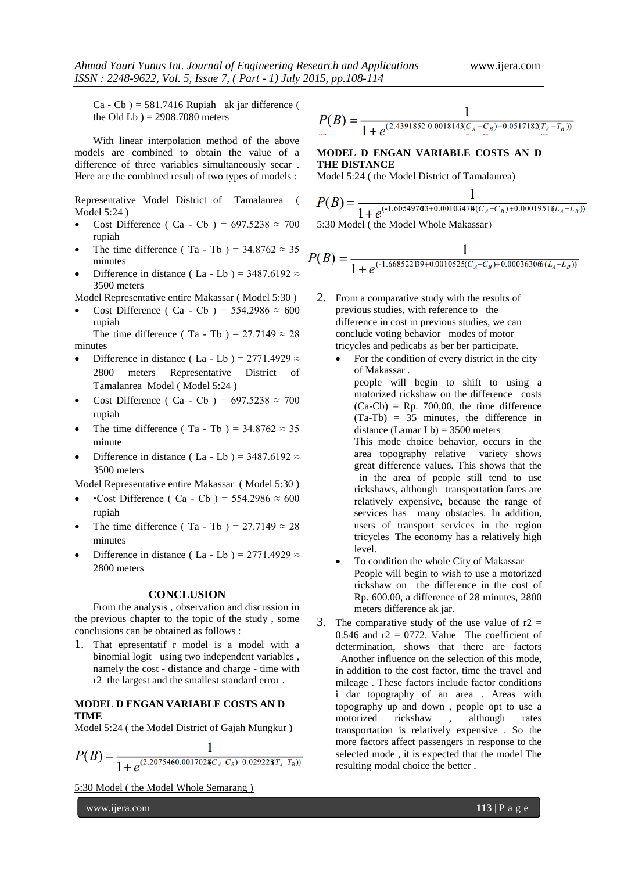$Ca - Cb$ ) = 581.7416 Rupiah ak jar difference ( the Old Lb  $) = 2908.7080$  meters

With linear interpolation method of the above models are combined to obtain the value of a difference of three variables simultaneously secar . Here are the combined result of two types of models :

Representative Model District of Tamalanrea ( Model 5:24 )

- Cost Difference ( Ca Cb ) =  $697.5238 \approx 700$ rupiah
- The time difference (Ta Tb) =  $34.8762 \approx 35$ minutes
- Difference in distance ( La Lb ) =  $3487.6192 \approx$ 3500 meters

Model Representative entire Makassar ( Model 5:30 )

Cost Difference ( Ca - Cb ) =  $554.2986 \approx 600$ rupiah

The time difference (Ta - Tb) = 27.7149  $\approx$  28 minutes

- Difference in distance ( La Lb ) = 2771.4929  $\approx$ 2800 meters Representative District of Tamalanrea Model ( Model 5:24 )
- Cost Difference ( Ca Cb ) =  $697.5238 \approx 700$ rupiah
- The time difference (Ta Tb) =  $34.8762 \approx 35$ minute
- Difference in distance ( La Lb ) = 3487.6192  $\approx$ 3500 meters

Model Representative entire Makassar ( Model 5:30 )

- •Cost Difference ( Ca Cb ) =  $554.2986 \approx 600$ rupiah
- The time difference (Ta Tb) = 27.7149  $\approx$  28 minutes
- Difference in distance ( La Lb ) = 2771.4929  $\approx$ 2800 meters

#### **CONCLUSION**

From the analysis , observation and discussion in the previous chapter to the topic of the study , some conclusions can be obtained as follows :

1. That epresentatif r model is a model with a binomial logit using two independent variables , namely the cost - distance and charge - time with r2 the largest and the smallest standard error .

## **MODEL D ENGAN VARIABLE COSTS AN D TIME**

Model 5:24 ( the Model District of Gajah Mungkur )

$$
P(B) = \frac{1}{1 + e^{(2.2075460.001702\mathcal{R}C_A - C_B) - 0.02922\mathcal{R}T_A - T_B)}}
$$

5:30 Model ( the Model Whole Semarang )

$$
P(B) = \frac{1}{1 + e^{(2.4391852 \cdot 0.0018143 \underbrace{C_A - C_B}_{\sim 0}) - 0.0517182 \underbrace{T_A - T_B}_{\sim 0})}}
$$

# **MODEL D ENGAN VARIABLE COSTS AN D THE DISTANCE**

Model 5:24 ( the Model District of Tamalanrea)

$$
P(B) = \frac{1}{1 + e^{(-1.605497@3 + 0.0010347@(C_A - C_B) + 0.0001951@L_A - L_B))}}
$$
  
5:30 Model (the Model Whole Makassar)

$$
P(B) = \frac{1}{1 + e^{(-1.668522B9 + 0.0010525(C_A - C_B) + 0.00036306(L_A - L_B))}}
$$

- 2. From a comparative study with the results of previous studies, with reference to the difference in cost in previous studies, we can conclude voting behavior modes of motor tricycles and pedicabs as ber ber participate.
	- For the condition of every district in the city of Makassar . people will begin to shift to using a motorized rickshaw on the difference costs  $(Ca-Cb)$  = Rp. 700,00, the time difference (Ta-Tb) = 35 minutes, the difference in distance (Lamar Lb) = 3500 meters This mode choice behavior, occurs in the area topography relative variety shows great difference values. This shows that the in the area of people still tend to use rickshaws, although transportation fares are relatively expensive, because the range of services has many obstacles. In addition, users of transport services in the region tricycles The economy has a relatively high level.
	- To condition the whole City of Makassar People will begin to wish to use a motorized rickshaw on the difference in the cost of Rp. 600.00, a difference of 28 minutes, 2800 meters difference ak jar.
- 3. The comparative study of the use value of  $r2 =$ 0.546 and  $r2 = 0772$ . Value The coefficient of determination, shows that there are factors Another influence on the selection of this mode, in addition to the cost factor, time the travel and mileage . These factors include factor conditions i dar topography of an area . Areas with topography up and down , people opt to use a motorized rickshaw , although rates transportation is relatively expensive . So the more factors affect passengers in response to the selected mode , it is expected that the model The resulting modal choice the better .